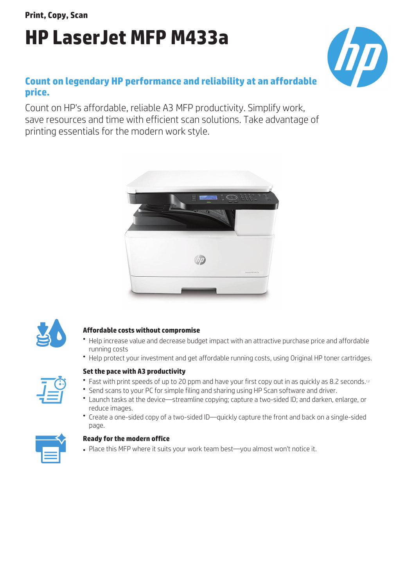**Print, Copy, Scan**

# **HP LaserJet MFP M433a**

# **Count on legendary HP performance and reliability at an affordable price.**

Count on HP's affordable, reliable A3 MFP productivity. Simplify work, save resources and time with efficient scan solutions. Take advantage of printing essentials for the modern work style.





# **Affordable costs without compromise**

- Help increase value and decrease budget impact with an attractive purchase price and affordable running costs
- Help protect your investment and get affordable running costs, using Original HP toner cartridges.



# **Set the pace with A3 productivity**

- $\bullet$  Fast with print speeds of up to 20 ppm and have your first copy out in as quickly as 8.2 seconds.1,2
- Send scans to your PC for simple filing and sharing using HP Scan software and driver.
- Launch tasks at the device—streamline copying; capture a two-sided ID; and darken, enlarge, or reduce images.
- Create a one-sided copy of a two-sided ID—quickly capture the front and back on a single-sided page.



# **Ready for the modern office**

• Place this MFP where it suits your work team best-you almost won't notice it.

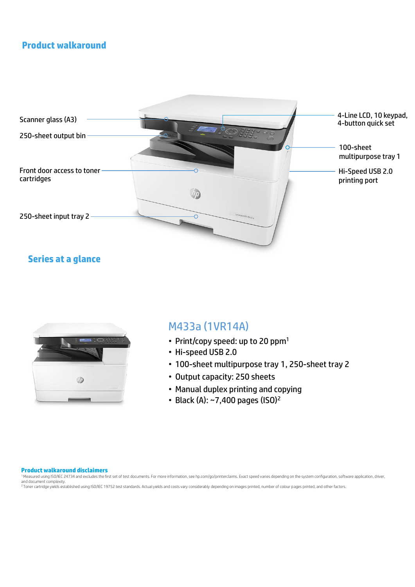# **Product walkaround**



# **Series at a glance**



# M433a (1VR14A)

- Print/copy speed: up to 20 ppm<sup>1</sup>
- Hi-speed USB 2.0
- 100-sheet multipurpose tray 1, 250-sheet tray 2
- Output capacity: 250 sheets
- Manual duplex printing and copying
- Black (A):  $\sim$ 7,400 pages (ISO)<sup>2</sup>

#### **Product walkaround disclaimers**

<sup>1</sup> Measured using ISO/IEC 24734 and excludes the first set of test documents. For more information, see hp.com/go/printerclaims. Exact speed varies depending on the system configuration, software application, driver,<br>and